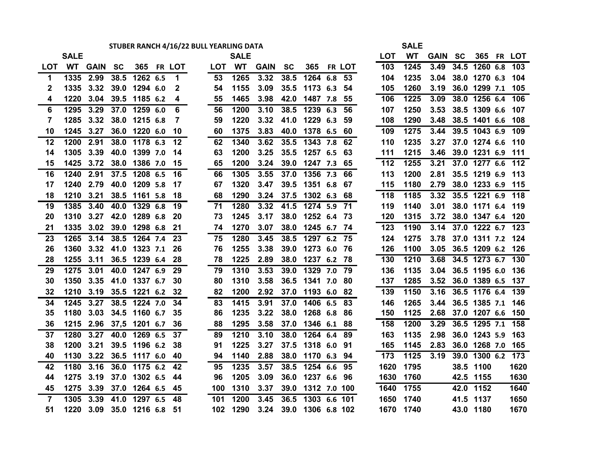# **STUBER RANCH 4/16/22 BULL YEARLING DATA SALE**

|                | <b>SALE</b> |                   |      |                  |              |        | <b>SALE</b> |      |           |                   |    | <b>LOT</b> | <b>WT</b> | <b>GAIN SC</b> |      |                        | 365 FR LOT |
|----------------|-------------|-------------------|------|------------------|--------------|--------|-------------|------|-----------|-------------------|----|------------|-----------|----------------|------|------------------------|------------|
| LOT            |             | <b>WT GAIN SC</b> |      |                  | 365 FR LOT   | LOT WT |             | GAIN | <b>SC</b> | 365 FR LOT        |    | 103        | 1245      | 3.49           |      | 34.5 1260 6.8          | 103        |
| $\mathbf 1$    | 1335        | 2.99              | 38.5 | 1262 6.5         | $\mathbf 1$  | 53     | 1265        | 3.32 | 38.5      | 1264 6.8          | 53 | 104        | 1235      |                |      | 3.04 38.0 1270 6.3     | 104        |
| 2              | 1335        | 3.32              | 39.0 | 1294 6.0         | $\mathbf{2}$ | 54     | 1155        | 3.09 | 35.5      | 1173 6.3          | 54 | 105        | 1260      | 3.19           |      | 36.0 1299 7.1          | 105        |
| 4              | 1220        | 3.04              | 39.5 | 1185 6.2         | 4            | 55     | 1465        | 3.98 | 42.0      | 1487 7.8          | 55 | 106        | 1225      | 3.09           |      | 38.0 1256 6.4          | 106        |
| 6              | 1295        | 3.29              | 37.0 | 1259 6.0         | 6            | 56     | 1200        | 3.10 | 38.5      | 1239 6.3          | 56 | 107        | 1250      | 3.53           |      | 38.5 1309 6.6          | 107        |
| $\overline{7}$ | 1285        | 3.32              | 38.0 | 1215 6.8         | 7            | 59     | 1220        | 3.32 | 41.0      | 1229 6.3          | 59 | 108        | 1290      | 3.48           |      | 38.5 1401 6.6          | 108        |
| 10             | 1245        | 3.27              | 36.0 | 1220 6.0         | 10           | 60     | 1375        | 3.83 | 40.0      | 1378 6.5          | 60 | 109        | 1275      | 3.44           |      | 39.5 1043 6.9          | 109        |
| 12             | 1200        | 2.91              | 38.0 | 1178 6.3         | 12           | 62     | 1340        | 3.62 | 35.5      | 1343 7.8          | 62 | 110        | 1235      |                |      | 3.27 37.0 1274 6.6     | 110        |
| 14             | 1305        | 3.39              | 40.0 | 1399 7.0         | 14           | 63     | 1200        | 3.25 | 35.5      | 1257 6.5          | 63 | 111        | 1215      | 3.46           |      | 39.0 1231 6.9          | 111        |
| 15             | 1425        | 3.72              | 38.0 | 1386 7.0         | 15           | 65     | 1200        | 3.24 |           | 39.0 1247 7.3     | 65 | 112        | 1255      | 3.21           |      | 37.0 1277 6.6          | 112        |
| 16             | 1240        | 2.91              | 37.5 | 1208 6.5         | 16           | 66     | 1305        | 3.55 | 37.0      | 1356 7.3          | 66 | 113        | 1200      | 2.81           |      | 35.5 1219 6.9          | 113        |
| 17             | 1240        | 2.79              | 40.0 | 1209 5.8         | 17           | 67     | 1320        | 3.47 | 39.5      | 1351 6.8          | 67 | 115        | 1180      | 2.79           |      | 38.0 1233 6.9          | 115        |
| 18             | 1210        | 3.21              |      | 38.5 1161 5.8    | 18           | 68     | 1290        | 3.24 | 37.5      | 1302 6.3          | 68 | 118        | 1185      | 3.32           |      | 35.5 1221 6.9 118      |            |
| 19             | 1385        | 3.40              | 40.0 | 1329 6.8         | 19           | 71     | 1280        | 3.32 | 41.5      | 1274 5.9 71       |    | 119        | 1140      | 3.01           |      | 38.0 1171 6.4          | 119        |
| 20             | 1310        | 3.27              | 42.0 | 1289 6.8         | 20           | 73     | 1245        | 3.17 | 38.0      | 1252 6.4          | 73 | 120        | 1315      | 3.72           |      | 38.0 1347 6.4          | 120        |
| 21             | 1335        | 3.02              | 39.0 | 1298 6.8         | 21           | 74     | 1270        | 3.07 | 38.0      | 1245 6.7 74       |    | 123        | 1190      | 3.14           |      | 37.0 1222 6.7          | 123        |
| 23             | 1265        | 3.14              | 38.5 | 1264 7.4         | 23           | 75     | 1280        | 3.45 | 38.5      | 1297 6.2 75       |    | 124        | 1275      |                |      | 3.78 37.0 1311 7.2     | 124        |
| 26             | 1360        | 3.32              | 41.0 | 1323 7.1         | 26           | 76     | 1255        | 3.38 | 39.0      | 1273 6.0          | 76 | 126        | 1100      |                |      | 3.05 36.5 1209 6.2     | 126        |
| 28             | 1255        | 3.11              |      | 36.5 1239 6.4    | 28           | 78     | 1225        | 2.89 | 38.0      | 1237 6.2          | 78 | 130        | 1210      | 3.68           |      | 34.5 1273 6.7          | 130        |
| 29             | 1275        | 3.01              | 40.0 | 1247 6.9         | 29           | 79     | 1310        | 3.53 | 39.0      | 1329 7.0          | 79 | 136        | 1135      |                |      | 3.04 36.5 1195 6.0     | 136        |
| 30             | 1350        | 3.35              |      | 41.0 1337 6.7    | 30           | 80     | 1310        | 3.58 | 36.5      | 1341 7.0          | 80 | 137        | 1285      |                |      | 3.52 36.0 1389 6.5     | 137        |
| 32             | 1210        | 3.19              | 35.5 | 1221 6.2         | 32           | 82     | 1200        | 2.92 | 37.0      | 1193 6.0          | 82 | 139        | 1150      | 3.16           |      | 36.5 1176 6.4          | 139        |
| 34             | 1245        | 3.27              | 38.5 | 1224 7.0         | 34           | 83     | 1415        | 3.91 | 37.0      | 1406 6.5          | 83 | 146        | 1265      | 3.44           |      | 36.5 1385 7.1          | 146        |
| 35             | 1180        | 3.03              |      | 34.5 1160 6.7    | 35           | 86     | 1235        | 3.22 | 38.0      | 1268 6.8          | 86 | 150        | 1125      |                |      | 2.68 37.0 1207 6.6     | 150        |
| 36             |             | 1215 2.96         |      | 37,5 1201 6.7    | 36           | 88     | 1295        | 3.58 | 37.0      | 1346 6.1          | 88 | 158        | 1200      | 3.29           |      | 36.5 1295 7.1          | 158        |
| 37             | 1280        | 3.27              | 40.0 | 1269 6.5         | 37           | 89     | 1210        | 3.10 | 38.0      | 1264 6.4          | 89 | 163        | 1135      | 2.98           |      | 36.0 1243 5.9          | 163        |
| 38             | 1200        | 3.21              |      | 39.5 1196 6.2    | 38           | 91     | 1225        | 3.27 | 37.5      | 1318 6.0          | 91 | 165        | 1145      | 2.83           |      | 36.0 1268 7.0          | 165        |
| 40             | 1130        | 3.22              |      | 36.5 1117 6.0    | 40           | 94     | 1140        | 2.88 | 38.0      | 1170 6.3 94       |    | 173        | 1125      |                |      | 3.19 39.0 1300 6.2 173 |            |
| 42             | 1180        | 3.16              | 36.0 | 1175 6.2         | 42           | 95     | 1235        | 3.57 | 38.5      | 1254 6.6          | 95 | 1620       | 1795      |                |      | 38.5 1100              | 1620       |
| 44             | 1275        | 3.19              | 37.0 | 1302 6.5         | 44           | 96     | 1205        | 3.09 | 36.0      | 1237 6.6          | 96 | 1630       | 1760      |                |      | 42.5 1155              | 1630       |
| 45             | 1275        | 3.39              | 37.0 | 1264 6.5         | 45           | 100    | 1310        | 3.37 | 39.0      | 1312 7.0 100      |    | 1640       | 1755      |                |      | 42.0 1152              | 1640       |
| $\overline{7}$ | 1305        | 3.39              | 41.0 | 1297 6.5         | 48           | 101    | 1200        | 3.45 | 36.5      | $1303$ 6.6 101    |    | 1650       | 1740      |                | 41.5 | 1137                   | 1650       |
| 51             | 1220        | 3.09              |      | 35.0 1216 6.8 51 |              | 102    | 1290        | 3.24 |           | 39.0 1306 6.8 102 |    |            | 1670 1740 |                |      | 43.0 1180              | 1670       |

|         | SALE |      |           |        |           |         |
|---------|------|------|-----------|--------|-----------|---------|
| LOT     | WT   | GAIN | <b>SC</b> | 365    | <b>FR</b> | LOT     |
| 103     | 1245 | 3.49 | 34.5      | 1260   | 6.8       | 103     |
| 104     | 1235 | 3.04 | 38.0      | 1270   | 6.3       | 104     |
| 105     | 1260 | 3.19 | 36.0      | 1299   | 7.1       | 105     |
| 106     | 1225 | 3.09 | 38.0      | 1256   | 6.4       | 106     |
| 107     | 1250 | 3.53 | 38.5      | 1309   | 6.6       | 107     |
| 108     | 1290 | 3.48 | 38.5      | 1401   | 6.6       | 108     |
| 109     | 1275 | 3.44 | 39.5      | 1043   | 6.9       | 109     |
| 110     | 1235 | 3.27 | 37.0      | 1274   | 6.6       | 110     |
| 111     | 1215 | 3.46 | 39.0      | 1231   | 6.9       | 111     |
| 112     | 1255 | 3.21 | 37.0      | 1277   | 6.6       | 112     |
| 113     | 1200 | 2.81 | 35.5      | 1219   | 6.9       | 113     |
| 115     | 1180 | 2.79 | 38.0      | 1233   | 6.9       | 115     |
| 118     | 1185 | 3.32 | 35.5      | 1221   | 6.9       | 118     |
| 119     | 1140 | 3.01 | 38.0      | 1171   | 6.4       | 119     |
| 120     | 1315 | 3.72 | 38.0      | 1347   | 6.4       | 120     |
| 123     | 1190 | 3.14 | 37.0      | 1222   | 6.7       | 123     |
| 124     | 1275 | 3.78 | 37.0      | 1311   | 7.2       | 124     |
| 126     | 1100 | 3.05 | 36.5      | 1209   | 6.2       | 126     |
| 130     | 1210 | 3.68 | 34.5      | 1273   | 6.7       | 130     |
| 136     | 1135 | 3.04 | 36.5      | 1195   | 6.0       | 136     |
| 137     | 1285 | 3.52 | 36.0      | 1389   | 6.5       | 137     |
| 139     | 1150 | 3.16 | 36.5      | 1176   | 6.4       | 139     |
| 146     | 1265 | 3.44 | 36.5      | 1385   | 7.1       | 146     |
| 150     | 1125 | 2.68 | 37.0      | 1207   | 6.6       | 150     |
| 158     | 1200 | 3.29 | 36.5      | 1295   | 7.1       | 158     |
| 163     | 1135 | 2.98 | 36.0      | 1243   | 5.9       | 163     |
| 165     | 1145 | 2.83 | 36.0      | 1268   | 7.0       | 165     |
| 173     | 1125 | 3.19 | 39.0      | 1300   | 6.2       | 173     |
| 1620    | 1795 |      | 38.5      | 1100   |           | 1620    |
| 1630    | 1760 |      | 42.5      | 1155   |           | 1630    |
| 1640    | 1755 |      | 42.0      | 1152   |           | 1640    |
| 1650    | 1740 |      | 41.5      | 1137   |           | 1650    |
| 1 G 7 N | 478N |      | 12 U      | 11 Q N |           | 1 G 7 N |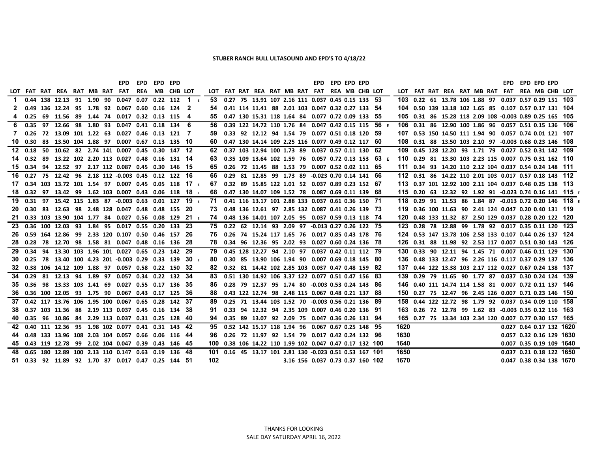## **STUBER RANCH BULL ULTASOUND AND EPD'S TO 4/18/22**

**EPD EPD EPD EPD EPD EPD EPD EPD EPD EPD EPD EPD**

|             |  |  |  | LOT FAT RAT REA RAT MB RAT FAT REA MB CHB LOT                    |  |                                                      |     |  |  |  | LOT FAT RAT REA RAT MB RAT FAT REA MB CHB LOT                               |  |  |      |  |  |  |  | LOT FAT RAT REA RAT MB RAT FAT REA MB CHB LOT                                |                                                                     |
|-------------|--|--|--|------------------------------------------------------------------|--|------------------------------------------------------|-----|--|--|--|-----------------------------------------------------------------------------|--|--|------|--|--|--|--|------------------------------------------------------------------------------|---------------------------------------------------------------------|
| $\mathbf 1$ |  |  |  |                                                                  |  | 0.44 138 12.13 91 1.90 90 0.047 0.07 0.22 112 1      |     |  |  |  | 53 0.27 75 13.91 107 2.16 111 0.037 0.45 0.15 133 53                        |  |  |      |  |  |  |  | 103  0.22  61  13.78  106  1.88  97  0.037  0.57  0.29  151  103             |                                                                     |
|             |  |  |  | 0.49 136 12.24 95 1.78 92 0.067 0.60 0.16 124 2                  |  |                                                      | 54  |  |  |  | 0.41 114 11.41 88 2.01 103 0.047 0.32 0.27 133 54                           |  |  |      |  |  |  |  | 104  0.50  139  13.18  102  1.65  85  0.107  0.57  0.17  131  104            |                                                                     |
|             |  |  |  | 0.25 69 11.56 89 1.44 74 0.017 0.32 0.13 115 4                   |  |                                                      | 55  |  |  |  | 0.47 130 15.31 118 1.64 84 0.077 0.72 0.09 133 55                           |  |  |      |  |  |  |  | 105  0.31  86  15.28  118  2.09  108  -0.003  0.89  0.25  165  105           |                                                                     |
| 6.          |  |  |  | 0.35 97 12.66 98 1.80 93 0.047 0.41 0.18 134 6                   |  |                                                      | 56  |  |  |  | 0.39 122 14.72 110 1.76 84 0.047 0.42 0.15 115 56 E                         |  |  |      |  |  |  |  | 106  0.31  86  12.90  100  1.86  96  0.057  0.51  0.15  136  106             |                                                                     |
| 7           |  |  |  | 0.26 72 13.09 101 1.22 63 0.027 0.46 0.13 121 7                  |  |                                                      | 59  |  |  |  | 0.33 92 12.12 94 1.54 79 0.077 0.51 0.18 120 59                             |  |  |      |  |  |  |  | 107   0.53   150   14.50   111   1.94   90   0.057   0.74   0.01   121   107 |                                                                     |
|             |  |  |  | 10  0.30  83  13.50  104  1.88  97  0.007  0.67  0.13  135  10   |  |                                                      | 60. |  |  |  | 0.47 130 14.14 109 2.25 116 0.077 0.49 0.12 117 60                          |  |  |      |  |  |  |  | 108  0.31  88  13.50  103  2.10  97  -0.003  0.68  0.23  146  108            |                                                                     |
|             |  |  |  | 12 0.18 50 10.62 82 2.74 141 0.007 0.45 0.30 147 12              |  |                                                      | 62  |  |  |  | 0.37 103 12.94 100 1.73 89 0.037 0.57 0.11 130 62                           |  |  |      |  |  |  |  | 109  0.45  128  12.20  93  1.71  79  0.027  0.52  0.31  142  109             |                                                                     |
|             |  |  |  | 14  0.32  89  13.22  102  2.20  113  0.027  0.48  0.16  131  14  |  |                                                      |     |  |  |  | 0.35 109 13.64 102 1.59 76 0.057 0.72 0.13 153 63 E                         |  |  |      |  |  |  |  | 110 0.29 81 13.30 103 2.23 115 0.007 0.75 0.31 162 110                       |                                                                     |
|             |  |  |  | 15 0.34 94 12.52 97 2.17 112 0.087 0.45 0.30 146 15              |  |                                                      | 65  |  |  |  | 0.26 72 11.45 88 1.53 79 0.007 0.52 0.02 111 65                             |  |  |      |  |  |  |  | 111  0.34  93  14.20  110  2.12  104  0.037  0.54  0.24  148  111            |                                                                     |
|             |  |  |  | 16 0.27 75 12.42 96 2.18 112 -0.003 0.45 0.12 122 16             |  |                                                      | 66. |  |  |  | 0.29 81 12.85 99 1.73 89 -0.023 0.70 0.14 141 66                            |  |  |      |  |  |  |  | 112  0.31  86  14.22  110  2.01  103  0.017  0.57  0.18  143  112            |                                                                     |
|             |  |  |  |                                                                  |  | 17 0.34 103 13.72 101 1.54 97 0.007 0.45 0.05 118 17 | 67  |  |  |  | 0.32 89 15.85 122 1.01 52 0.037 0.89 0.23 152 67                            |  |  |      |  |  |  |  | 113  0.37  101  12.92  100  2.11  104  0.037  0.48  0.25  138  113           |                                                                     |
|             |  |  |  | 18 0.32 97 13.42 99 1.62 103 0.007 0.43 0.06 118 18 $\epsilon$   |  |                                                      | 68. |  |  |  | 0.47 130 14.07 109 1.52 78 0.087 0.69 0.11 139 68                           |  |  |      |  |  |  |  |                                                                              | 115  0.20  63  12.32  92  1.92  91  -0.023  0.74  0.16  141  115  E |
| 19          |  |  |  |                                                                  |  | 0.31 97 15.42 115 1.83 87 -0.003 0.63 0.01 127 19    | 71  |  |  |  | 0.41 116 13.17 101 2.88 133 0.037 0.61 0.36 150 71                          |  |  |      |  |  |  |  |                                                                              | 118  0.29  91  11.53  86  1.84  87  -0.013  0.72  0.20  146  118  E |
| 20          |  |  |  | 0.30 83 12.63 98 2.48 128 0.047 0.48 0.48 155 20                 |  |                                                      |     |  |  |  | 73   0.48   136   12.61   97   2.85   132   0.087   0.41   0.26   139   73  |  |  |      |  |  |  |  | 119  0.36  100  11.63  90  2.41  124  0.047  0.20  0.40  131  119            |                                                                     |
| -21         |  |  |  | 0.33 103 13.90 104 1.77 84 0.027 0.56 0.08 129 21 $\epsilon$     |  |                                                      | 74  |  |  |  | 0.48 136 14.01 107 2.05 95 0.037 0.59 0.13 118 74                           |  |  |      |  |  |  |  | 120  0.48  133  11.32  87  2.50  129  0.037  0.28  0.20  122  120            |                                                                     |
| 23          |  |  |  | 0.36 100 12.03 93 1.84 95 0.017 0.55 0.20 133 23                 |  |                                                      |     |  |  |  | 75 0.22 62 12.14 93 2.09 97 -0.013 0.27 0.26 122 75                         |  |  |      |  |  |  |  | 123 0.28 78 12.88 99 1.78 92 0.017 0.35 0.11 120 123                         |                                                                     |
| 26.         |  |  |  | 0.59 164 12.86 99 2.33 120 0.107 0.50 0.46 157 26                |  |                                                      | 76. |  |  |  | 0.26 74 15.24 117 1.65 76 0.017 0.85 0.43 178 76                            |  |  |      |  |  |  |  | 124  0.53  147  13.78  106  2.58  133  0.107  0.44  0.26  137  124           |                                                                     |
|             |  |  |  | 28  0.28  78  12.70  98  1.58  81  0.047  0.48  0.16  136  28    |  |                                                      |     |  |  |  | 78  0.34  96  12.36  95  2.02  93  0.027  0.60  0.24  136  78               |  |  |      |  |  |  |  | 126 0.31 88 11.98 92 2.53 117 0.007 0.51 0.30 143 126                        |                                                                     |
| 29          |  |  |  | 0.34 94 13.30 103 1.96 101 0.027 0.65 0.23 142 29                |  |                                                      |     |  |  |  | 0.45 128 12.27 94 2.10 97 0.037 0.42 0.11 112 79                            |  |  |      |  |  |  |  | 130  0.33  90  12.11  94  1.45  71  0.007  0.46  0.11  129  130              |                                                                     |
| 30          |  |  |  | 0.25 78 13.40 100 4.23 201 -0.003 0.29 0.33 139 30 $E$           |  |                                                      | 80. |  |  |  | 0.30 85 13.90 106 1.94 90 0.007 0.69 0.18 145 80                            |  |  |      |  |  |  |  | 136 0.48 133 12.47 96 2.26 116 0.117 0.37 0.29 137 136                       |                                                                     |
| 32          |  |  |  | 0.38 106 14.12 109 1.88 97 0.057 0.58 0.22 150 32                |  |                                                      | 82. |  |  |  | 0.32 81 14.42 102 2.85 103 0.037 0.47 0.48 159 82                           |  |  |      |  |  |  |  | 137  0.44  122  13.38  103  2.17  112  0.027  0.67  0.24  138  137           |                                                                     |
|             |  |  |  | 34 0.29 81 12.13 94 1.89 97 0.057 0.34 0.22 132 34               |  |                                                      |     |  |  |  | 83   0.51   130   14.92   106   3.37   122   0.077   0.51   0.47   156   83 |  |  |      |  |  |  |  | 139   0.29   79   11.65   90   1.77   87   0.037   0.30   0.24   124   139   |                                                                     |
|             |  |  |  | 35  0.36  98  13.33  103  1.41  69  0.027  0.55  0.17  136  35   |  |                                                      | 86  |  |  |  | 0.28 79 12.37 95 1.74 80 -0.003 0.53 0.24 143 86                            |  |  |      |  |  |  |  | 146  0.40  111  14.74  114  1.58  81  0.007  0.72  0.11  137  146            |                                                                     |
|             |  |  |  | 36  0.36  100  12.05  93  1.75  90  0.067  0.43  0.17  125  36   |  |                                                      | 88. |  |  |  | 0.43 122 12.74 98 2.48 115 0.067 0.48 0.21 137 88                           |  |  |      |  |  |  |  | 150  0.27  75  12.47  96  2.45  126  0.007  0.71  0.23  146  150             |                                                                     |
| 37          |  |  |  | 0.42 117 13.76 106 1.95 100 0.067 0.65 0.28 142 37               |  |                                                      | 89. |  |  |  | 0.25 71 13.44 103 1.52 70 -0.003 0.56 0.21 136 89                           |  |  |      |  |  |  |  | 158  0.44  122  12.72  98  1.79  92  0.037  0.34  0.09  110  158             |                                                                     |
| 38.         |  |  |  | 0.37 103 11.36 88 2.19 113 0.037 0.45 0.16 134 38                |  |                                                      |     |  |  |  | 0.33 94 12.32 94 2.35 109 0.007 0.46 0.20 136 91                            |  |  |      |  |  |  |  | 163  0.26  72  12.78  99  1.62  83  -0.003  0.35  0.12  116  163             |                                                                     |
|             |  |  |  | 40  0.35  96  10.86  84  2.29  113  0.037  0.31  0.25  128  40   |  |                                                      | 94  |  |  |  | 0.35 89 13.07 92 2.09 75 0.047 0.36 0.26 131 94                             |  |  |      |  |  |  |  | 165 0.27 75 13.34 103 2.34 120 0.007 0.77 0.30 157 165                       |                                                                     |
| 42          |  |  |  | 0.40 111 12.36 95 1.98 102 0.077 0.41 0.31 143 42                |  |                                                      | 95  |  |  |  | 0.52 142 15.17 118 1.94 96 0.067 0.67 0.25 148 95                           |  |  | 1620 |  |  |  |  | 0.027 0.64 0.17 132 1620                                                     |                                                                     |
| 44          |  |  |  | 0.48 133 13.96 108 2.03 104 0.057 0.66 0.06 116 44               |  |                                                      | 96. |  |  |  | 0.26 72 11.97 92 1.54 79 0.017 0.42 0.24 132 96                             |  |  | 1630 |  |  |  |  | 0.057 0.32 0.16 129 1630                                                     |                                                                     |
|             |  |  |  | 45  0.43  119  12.78  99  2.02  104  0.047  0.39  0.43  146  45  |  |                                                      |     |  |  |  | 100  0.38  106  14.22  110  1.99  102  0.047  0.47  0.17  132  100          |  |  | 1640 |  |  |  |  | 0.007 0.35 0.19 109 1640                                                     |                                                                     |
|             |  |  |  | 48  0.65  180  12.89  100  2.13  110  0.147  0.63  0.19  136  48 |  |                                                      |     |  |  |  | 101  0.16  45  13.17  101  2.81  130  -0.023  0.51  0.53  167  101          |  |  | 1650 |  |  |  |  | 0.037 0.21 0.18 122 1650                                                     |                                                                     |
|             |  |  |  | 51  0.33  92  11.89  92  1.70  87  0.017  0.47  0.25  144  51    |  |                                                      | 102 |  |  |  | 3.16 156 0.037 0.73 0.37 160 102                                            |  |  | 1670 |  |  |  |  | 0.047 0.38 0.34 138 1670                                                     |                                                                     |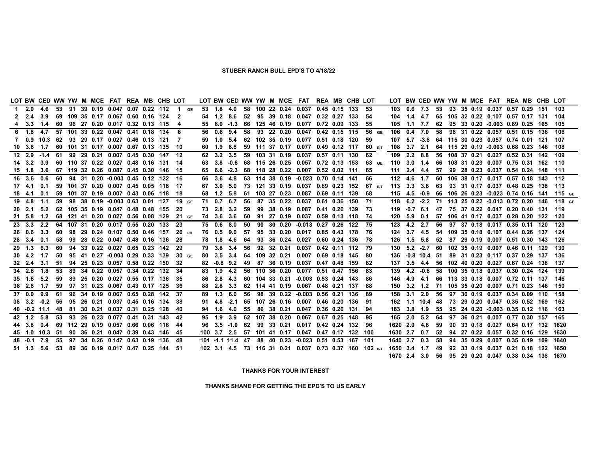## **STUBER RANCH BULL EPD'S TO 4/18/22**

| LOT BW CED WW YW M MCE FAT REA MB CHB LOT         |                                            |  |                                       |  |                                          |     |            |              |    |  | LOT BW CED WW YW M MCE FAT REA MB CHB LOT                   |  |                                                        |              |                 |                  |  | LOT BW CED WW YW M MCE FAT REA MB CHB LOT                     |  |  |                                                                     |
|---------------------------------------------------|--------------------------------------------|--|---------------------------------------|--|------------------------------------------|-----|------------|--------------|----|--|-------------------------------------------------------------|--|--------------------------------------------------------|--------------|-----------------|------------------|--|---------------------------------------------------------------|--|--|---------------------------------------------------------------------|
| 1 2.0 4.6 53 91 39 0.19 0.047 0.07 0.22 112       |                                            |  |                                       |  | $\blacksquare$ 1 GE                      |     |            |              |    |  | 53 1.8 4.0 58 100 22 0.24 0.037 0.45 0.15 133               |  | -53                                                    |              |                 |                  |  | 103  0.6  7.3  53  93  35  0.19  0.037  0.57  0.29  151  103  |  |  |                                                                     |
| 2 2.4 3.9                                         |                                            |  | 69 109 35 0.17 0.067 0.60 0.16 124    |  | -2                                       |     |            | 54 1.2 8.6   |    |  | 52 95 39 0.18 0.047 0.32 0.27 133                           |  | -54                                                    | 104          |                 | $1.4$ 4.7        |  | 65 105 32 0.22 0.107 0.57 0.17 131 104                        |  |  |                                                                     |
| 4 3.3 1.4                                         |                                            |  | 60 96 27 0.20 0.017 0.32 0.13 115     |  | 4                                        |     |            |              |    |  | 55 6.0 -1.3 66 125 46 0.19 0.077 0.72 0.09 133              |  | -55                                                    | 105          | 1.1             | 7.7              |  | 62 95 33 0.20 -0.003 0.89 0.25 165 105                        |  |  |                                                                     |
| 6 1.8 4.7                                         |                                            |  | 57 101 33 0.22 0.047 0.41 0.18 134    |  | -6                                       | 56. | 0.6 9.4    |              |    |  | 58 93 22 0.20 0.047 0.42 0.15 115                           |  | 56 GE                                                  | 106          | $0.4$ 7.0       |                  |  | 58 98 31 0.22 0.057 0.51 0.15 136                             |  |  | 106                                                                 |
|                                                   | 0.9 10.3 62 93 29 0.17 0.027 0.46 0.13 121 |  |                                       |  | -7                                       |     |            | $1.0 \t5.4$  |    |  | 62 102 35 0.19 0.077 0.51 0.18 120                          |  | 59                                                     | 107          |                 |                  |  | 5.7 -3.8 64 115 30 0.23 0.057 0.74 0.01 121                   |  |  | 107                                                                 |
| 10 3.6 1.7 60 101 31 0.17 0.007 0.67 0.13 135 10  |                                            |  |                                       |  |                                          |     |            |              |    |  | 60 1.9 8.8 59 111 37 0.17 0.077 0.49 0.12 117               |  | <b>60</b> INT                                          |              |                 | 108 3.7 2.1      |  | 64 115 29 0.19 -0.003 0.68 0.23 146 108                       |  |  |                                                                     |
| 12 2.9 -1.4 61 99 29 0.21 0.007 0.45 0.30 147 12  |                                            |  |                                       |  |                                          |     | 62 3.2 3.5 |              |    |  | 59 103 31 0.19 0.037 0.57 0.11 130                          |  | 62                                                     | 109          | 2.2 8.8         |                  |  | 56 108 37 0.21 0.027 0.52 0.31 142 109                        |  |  |                                                                     |
| 14 3.2 3.9                                        |                                            |  | 60 110 37 0.22 0.027 0.48 0.16 131 14 |  |                                          |     |            |              |    |  |                                                             |  | 3.8 -0.6 68 115 26 0.25 0.057 0.72 0.13 153 63 GE      | 110 3.0 1.4  |                 |                  |  | 66 108 31 0.23 0.007 0.75 0.31 162 110                        |  |  |                                                                     |
| 15 1.8 3.6                                        |                                            |  | 67 119 32 0.26 0.087 0.45 0.30 146    |  | - 15                                     |     |            |              |    |  | 65 6.6 -2.3 68 118 28 0.22 0.007 0.52 0.02 111 65           |  |                                                        |              |                 | 111 2.4 4.4      |  | 57 99 28 0.23 0.037 0.54 0.24 148 111                         |  |  |                                                                     |
| 16 3.6 0.6                                        |                                            |  | 60 94 31 0.20 -0.003 0.45 0.12 122    |  | - 16                                     |     |            | 66 3.6 4.8   |    |  | 63 114 38 0.19 -0.023 0.70 0.14 141                         |  | -66                                                    |              | 112   4.6   1.7 |                  |  | 60 106 38 0.17 0.017 0.57 0.18 143 112                        |  |  |                                                                     |
|                                                   |                                            |  | 59 101 37 0.20 0.007 0.45 0.05 118 17 |  |                                          |     |            |              |    |  |                                                             |  | 3.0 5.0 73 121 33 0.19 0.037 0.89 0.23 152 67 MYT      |              | 113 3.3 3.6     |                  |  | 63 93 31 0.17 0.037 0.48 0.25 138 113                         |  |  |                                                                     |
|                                                   |                                            |  | 59 101 37 0.19 0.007 0.43 0.06 118 18 |  |                                          |     |            |              |    |  | 68  1.2  5.8  61  103  27  0.23  0.087  0.69  0.11  139  68 |  |                                                        |              |                 |                  |  | 115 4.5 -0.9 66 106 26 0.23 -0.023 0.74 0.16 141 115 GE       |  |  |                                                                     |
| 19  4.8  1.1                                      |                                            |  |                                       |  | 59 98 38 0.19 -0.003 0.63 0.01 127 19 GE |     |            | 71 0.7 6.7   |    |  | 56 87 35 0.22 0.037 0.61 0.36 150 71                        |  |                                                        |              |                 |                  |  |                                                               |  |  | 118  6.2  -2.2  71  113  25  0.22  -0.013  0.72  0.20  146  118  GE |
| 20 2.1 5.2                                        |                                            |  | 62 105 35 0.19 0.047 0.48 0.48 155    |  | -20                                      | 73. |            | 2.8 3.2      | 59 |  | 99 38 0.19 0.087 0.41 0.26 139                              |  | -73                                                    | 119          |                 |                  |  | -0.7 6.1 47 75 37 0.22 0.047 0.20 0.40 131 119                |  |  |                                                                     |
| 21 5.8 1.2                                        |                                            |  | 68 121 41 0.20 0.027 0.56 0.08 129    |  | 21 GE                                    |     |            |              |    |  | 74 3.6 3.6 60 91 27 0.19 0.037 0.59 0.13 118 74             |  |                                                        | 120          |                 |                  |  | 5.9  0.1  57  106  41  0.17  0.037  0.28  0.20  122  120      |  |  |                                                                     |
| 23 3.3 2.2                                        |                                            |  | 64 107 31 0.20 0.017 0.55 0.20 133    |  | -23                                      |     |            | 75 0.6 8.0   | 50 |  | 90 30 0.20 -0.013 0.27 0.26 122 75                          |  |                                                        |              | 123 4.2 2.7     |                  |  | 56 97 37 0.18 0.017 0.35 0.11 120 123                         |  |  |                                                                     |
| 26 0.6 3.3                                        | 60                                         |  | 98 29 0.24 0.107 0.50 0.46 157        |  | <b>26</b> INT                            |     |            | 76  0.5  9.0 |    |  | 57 95 33 0.20 0.017 0.85 0.43 178 76                        |  |                                                        | 124          |                 | $3.7$ 4.5        |  | 54 109 35 0.18 0.107 0.44 0.26 137 124                        |  |  |                                                                     |
| 28 3.4 0.1                                        | 58                                         |  | 99 28 0.22 0.047 0.48 0.16 136        |  | -28                                      |     |            |              |    |  | 78  1.8  4.6  64  93  36  0.24  0.027  0.60  0.24  136  78  |  |                                                        | 126          | 1.5 5.8         |                  |  | 52 87 29 0.19 0.007 0.51 0.30 143 126                         |  |  |                                                                     |
| 29 1.3 6.3                                        | 60                                         |  | 94 33 0.22 0.027 0.65 0.23 142        |  | - 29                                     |     |            |              |    |  | 79 3.8 3.4 56 92 32 0.21 0.037 0.42 0.11 112 79             |  |                                                        | 130          |                 |                  |  | 5.2 -2.7 60 102 35 0.19 0.007 0.46 0.11 129 130               |  |  |                                                                     |
| 30 4.2 1.7                                        | 50                                         |  | 95 41 0.27 -0.003 0.29 0.33 139       |  | $30 \text{ Ge}$                          | 80. |            |              |    |  | 3.5 3.4 64 109 32 0.21 0.007 0.69 0.18 145                  |  | -80                                                    |              |                 | 136 -0.8 10.4 51 |  | 89 31 0.23 0.117 0.37 0.29 137                                |  |  | 136                                                                 |
| 32  2.4  3.1                                      | 51                                         |  | 94 25 0.23 0.057 0.58 0.22 150        |  | 32                                       |     |            | 82 -0.8 9.2  |    |  | 49 87 36 0.19 0.037 0.47 0.48 159                           |  | 82                                                     | 137          |                 |                  |  | 3.5 4.4 56 102 40 0.20 0.027 0.67 0.24 138 137                |  |  |                                                                     |
| 34 2.6 1.8                                        | 53                                         |  | 89 34 0.22 0.057 0.34 0.22 132        |  | -34                                      |     | 83 1.9 4.2 |              |    |  | 56 110 36 0.20 0.077 0.51 0.47 156                          |  | 83                                                     | 139          |                 | $4.2 -0.8$       |  | 58 100 35 0.18 0.037 0.30 0.24 124                            |  |  | 139                                                                 |
| 35 1.6 5.2                                        | 59                                         |  | 89 25 0.20 0.027 0.55 0.17 136        |  | 35                                       | 86. |            | 2.8 4.3      |    |  | 60 104 33 0.21 -0.003 0.53 0.24 143                         |  | 86                                                     | 146          | 4.9             | -4.1             |  | 66 113 33 0.18 0.007 0.72 0.11 137 146                        |  |  |                                                                     |
| 36 2.6 1.7 59 97 31 0.23 0.067 0.43 0.17 125      |                                            |  |                                       |  | -36                                      |     |            |              |    |  | 88 2.8 3.3 62 114 41 0.19 0.067 0.48 0.21 137               |  | 88                                                     |              |                 |                  |  | 150 3.2 1.2 71 105 35 0.20 0.007 0.71 0.23 146 150            |  |  |                                                                     |
| 37 0.0 9.9                                        | 61                                         |  | 96 34 0.19 0.067 0.65 0.28 142        |  | -37                                      | 89. |            | 1.3 6.0      |    |  | 56 98 39 0.22 -0.003 0.56 0.21 136                          |  | 89                                                     | 158          |                 | $3.1\quad 2.0$   |  | 56 97 30 0.19 0.037 0.34 0.09 110 158                         |  |  |                                                                     |
|                                                   | $38$ $3.2$ $-0.2$ 56                       |  | 95 26 0.21 0.037 0.45 0.16 134        |  | 38                                       |     |            |              |    |  | 4.8 -2.1 65 107 26 0.16 0.007 0.46 0.20 136                 |  | 91                                                     |              |                 |                  |  | 162 1.1 10.4 48 73 29 0.20 0.047 0.35 0.52 169 162            |  |  |                                                                     |
| 40 -0.2 11.1 48 81 30 0.21 0.037 0.31 0.25 128 40 |                                            |  |                                       |  |                                          |     |            |              |    |  | 94 1.6 4.0 55 86 38 0.21 0.047 0.36 0.26 131                |  | 94                                                     |              |                 |                  |  | 163  3.8  1.9  55  95  24  0.20  -0.003  0.35  0.12  116  163 |  |  |                                                                     |
| 42 1.2 5.8                                        |                                            |  | 53 93 26 0.23 0.077 0.41 0.31 143     |  | -42                                      |     |            | 95 1.9 3.9   |    |  | 62 107 38 0.20 0.067 0.67 0.25 148                          |  | 95                                                     |              | 165 2.0 5.2     |                  |  | 64 97 36 0.21 0.007 0.77 0.30 157 165                         |  |  |                                                                     |
| 44 3.8 0.4                                        |                                            |  | 69 112 29 0.19 0.057 0.66 0.06 116    |  | -44                                      |     |            |              |    |  | 3.5 -1.0 62  99 33 0.21 0.017 0.42 0.24 132  96             |  |                                                        |              | 1620 2.0 4.6    |                  |  | 59 90 33 0.18 0.027 0.64 0.17 132 1620                        |  |  |                                                                     |
| 45 1.0 10.3 51 90 36 0.21 0.047 0.39 0.43 146     |                                            |  |                                       |  | - 45                                     |     |            |              |    |  | 100 3.7 2.5 57 101 41 0.17 0.047 0.47 0.17 132 100          |  |                                                        | 1630 2.7 0.7 |                 |                  |  | 52 94 27 0.22 0.057 0.32 0.16 129 1630                        |  |  |                                                                     |
| 48 -0.1 7.9 55 97 34 0.26 0.147 0.63 0.19 136     |                                            |  |                                       |  | -48                                      |     |            |              |    |  | 101 -1.1 11.4 47 88 40 0.23 -0.023 0.51 0.53 167 101        |  |                                                        |              | 1640 2.7 0.3    |                  |  | 58 94 35 0.29 0.007 0.35 0.19 109 1640                        |  |  |                                                                     |
| 51 1.3 5.6 53 89 36 0.19 0.017 0.47 0.25 144 51   |                                            |  |                                       |  |                                          |     |            |              |    |  |                                                             |  | 102 3.1 4.5 73 116 31 0.21 0.037 0.73 0.37 160 102 INT | 1650 3.4 1.7 |                 |                  |  | 49 92 33 0.19 0.037 0.21 0.18 122 1650                        |  |  |                                                                     |
|                                                   |                                            |  |                                       |  |                                          |     |            |              |    |  |                                                             |  |                                                        |              |                 |                  |  | 1670 2.4 3.0 56 95 29 0.20 0.047 0.38 0.34 138 1670           |  |  |                                                                     |

#### **THANKS FOR YOUR INTEREST**

**THANKS SHANE FOR GETTING THE EPD'S TO US EARLY**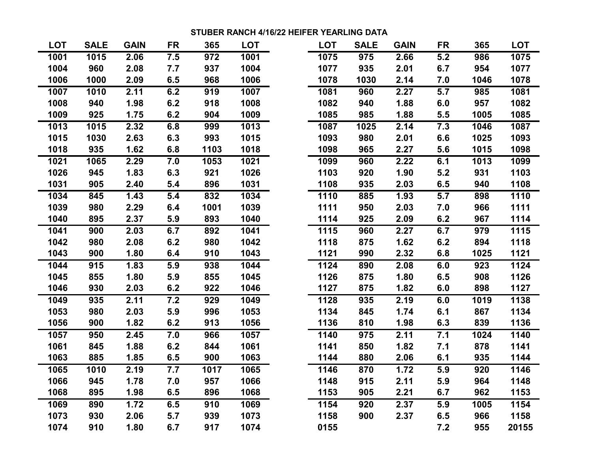## **STUBER RANCH 4/16/22 HEIFER YEARLING DATA**

| <b>LOT</b> | <b>SALE</b> | <b>GAIN</b> | <b>FR</b> | 365  | <b>LOT</b> |
|------------|-------------|-------------|-----------|------|------------|
| 1001       | 1015        | 2.06        | 7.5       | 972  | 1001       |
| 1004       | 960         | 2.08        | 7.7       | 937  | 1004       |
| 1006       | 1000        | 2.09        | 6.5       | 968  | 1006       |
| 1007       | 1010        | 2.11        | 6.2       | 919  | 1007       |
| 1008       | 940         | 1.98        | 6.2       | 918  | 1008       |
| 1009       | 925         | 1.75        | 6.2       | 904  | 1009       |
| 1013       | 1015        | 2.32        | 6.8       | 999  | 1013       |
| 1015       | 1030        | 2.63        | 6.3       | 993  | 1015       |
| 1018       | 935         | 1.62        | 6.8       | 1103 | 1018       |
| 1021       | 1065        | 2.29        | 7.0       | 1053 | 1021       |
| 1026       | 945         | 1.83        | 6.3       | 921  | 1026       |
| 1031       | 905         | 2.40        | 5.4       | 896  | 1031       |
| 1034       | 845         | 1.43        | 5.4       | 832  | 1034       |
| 1039       | 980         | 2.29        | 6.4       | 1001 | 1039       |
| 1040       | 895         | 2.37        | 5.9       | 893  | 1040       |
| 1041       | 900         | 2.03        | 6.7       | 892  | 1041       |
| 1042       | 980         | 2.08        | 6.2       | 980  | 1042       |
| 1043       | 900         | 1.80        | 6.4       | 910  | 1043       |
| 1044       | 915         | 1.83        | 5.9       | 938  | 1044       |
| 1045       | 855         | 1.80        | 5.9       | 855  | 1045       |
| 1046       | 930         | 2.03        | 6.2       | 922  | 1046       |
| 1049       | 935         | 2.11        | 7.2       | 929  | 1049       |
| 1053       | 980         | 2.03        | 5.9       | 996  | 1053       |
| 1056       | 900         | 1.82        | 6.2       | 913  | 1056       |
| 1057       | 950         | 2.45        | 7.0       | 966  | 1057       |
| 1061       | 845         | 1.88        | 6.2       | 844  | 1061       |
| 1063       | 885         | 1.85        | 6.5       | 900  | 1063       |
| 1065       | 1010        | 2.19        | 7.7       | 1017 | 1065       |
| 1066       | 945         | 1.78        | 7.0       | 957  | 1066       |
| 1068       | 895         | 1.98        | 6.5       | 896  | 1068       |
| 1069       | 890         | 1.72        | 6.5       | 910  | 1069       |
| 1073       | 930         | 2.06        | 5.7       | 939  | 1073       |
| 1074       | 910         | 1.80        | 6.7       | 917  | 1074       |

| <b>LOT</b> | <b>SALE</b> | <b>GAIN</b> | <b>FR</b> | 365  | <b>LOT</b> | <b>LOT</b> | <b>SALE</b> | <b>GAIN</b> | <b>FR</b> | 365  | <b>LOT</b> |
|------------|-------------|-------------|-----------|------|------------|------------|-------------|-------------|-----------|------|------------|
| 1001       | 1015        | 2.06        | 7.5       | 972  | 1001       | 1075       | 975         | 2.66        | 5.2       | 986  | 1075       |
| 1004       | 960         | 2.08        | 7.7       | 937  | 1004       | 1077       | 935         | 2.01        | 6.7       | 954  | 1077       |
| 1006       | 1000        | 2.09        | 6.5       | 968  | 1006       | 1078       | 1030        | 2.14        | 7.0       | 1046 | 1078       |
| 1007       | 1010        | 2.11        | 6.2       | 919  | 1007       | 1081       | 960         | 2.27        | 5.7       | 985  | 1081       |
| 1008       | 940         | 1.98        | 6.2       | 918  | 1008       | 1082       | 940         | 1.88        | 6.0       | 957  | 1082       |
| 1009       | 925         | 1.75        | 6.2       | 904  | 1009       | 1085       | 985         | 1.88        | 5.5       | 1005 | 1085       |
| 1013       | 1015        | 2.32        | 6.8       | 999  | 1013       | 1087       | 1025        | 2.14        | 7.3       | 1046 | 1087       |
| 1015       | 1030        | 2.63        | 6.3       | 993  | 1015       | 1093       | 980         | 2.01        | 6.6       | 1025 | 1093       |
| 1018       | 935         | 1.62        | 6.8       | 1103 | 1018       | 1098       | 965         | 2.27        | 5.6       | 1015 | 1098       |
| 1021       | 1065        | 2.29        | 7.0       | 1053 | 1021       | 1099       | 960         | 2.22        | 6.1       | 1013 | 1099       |
| 1026       | 945         | 1.83        | 6.3       | 921  | 1026       | 1103       | 920         | 1.90        | 5.2       | 931  | 1103       |
| 1031       | 905         | 2.40        | 5.4       | 896  | 1031       | 1108       | 935         | 2.03        | 6.5       | 940  | 1108       |
| 1034       | 845         | 1.43        | 5.4       | 832  | 1034       | 1110       | 885         | 1.93        | 5.7       | 898  | 1110       |
| 1039       | 980         | 2.29        | 6.4       | 1001 | 1039       | 1111       | 950         | 2.03        | 7.0       | 966  | 1111       |
| 1040       | 895         | 2.37        | 5.9       | 893  | 1040       | 1114       | 925         | 2.09        | 6.2       | 967  | 1114       |
| 1041       | 900         | 2.03        | 6.7       | 892  | 1041       | 1115       | 960         | 2.27        | 6.7       | 979  | 1115       |
| 1042       | 980         | 2.08        | 6.2       | 980  | 1042       | 1118       | 875         | 1.62        | 6.2       | 894  | 1118       |
| 1043       | 900         | 1.80        | 6.4       | 910  | 1043       | 1121       | 990         | 2.32        | 6.8       | 1025 | 1121       |
| 1044       | 915         | 1.83        | 5.9       | 938  | 1044       | 1124       | 890         | 2.08        | 6.0       | 923  | 1124       |
| 1045       | 855         | 1.80        | 5.9       | 855  | 1045       | 1126       | 875         | 1.80        | 6.5       | 908  | 1126       |
| 1046       | 930         | 2.03        | 6.2       | 922  | 1046       | 1127       | 875         | 1.82        | 6.0       | 898  | 1127       |
| 1049       | 935         | 2.11        | 7.2       | 929  | 1049       | 1128       | 935         | 2.19        | 6.0       | 1019 | 1138       |
| 1053       | 980         | 2.03        | 5.9       | 996  | 1053       | 1134       | 845         | 1.74        | 6.1       | 867  | 1134       |
| 1056       | 900         | 1.82        | 6.2       | 913  | 1056       | 1136       | 810         | 1.98        | 6.3       | 839  | 1136       |
| 1057       | 950         | 2.45        | 7.0       | 966  | 1057       | 1140       | 975         | 2.11        | 7.1       | 1024 | 1140       |
| 1061       | 845         | 1.88        | 6.2       | 844  | 1061       | 1141       | 850         | 1.82        | 7.1       | 878  | 1141       |
| 1063       | 885         | 1.85        | 6.5       | 900  | 1063       | 1144       | 880         | 2.06        | 6.1       | 935  | 1144       |
| 1065       | 1010        | 2.19        | 7.7       | 1017 | 1065       | 1146       | 870         | 1.72        | 5.9       | 920  | 1146       |
| 1066       | 945         | 1.78        | 7.0       | 957  | 1066       | 1148       | 915         | 2.11        | 5.9       | 964  | 1148       |
| 1068       | 895         | 1.98        | 6.5       | 896  | 1068       | 1153       | 905         | 2.21        | 6.7       | 962  | 1153       |
| 1069       | 890         | 1.72        | 6.5       | 910  | 1069       | 1154       | 920         | 2.37        | 5.9       | 1005 | 1154       |
| 1073       | 930         | 2.06        | 5.7       | 939  | 1073       | 1158       | 900         | 2.37        | 6.5       | 966  | 1158       |
| 1074       | 910         | 1.80        | 6.7       | 917  | 1074       | 0155       |             |             | 7.2       | 955  | 20155      |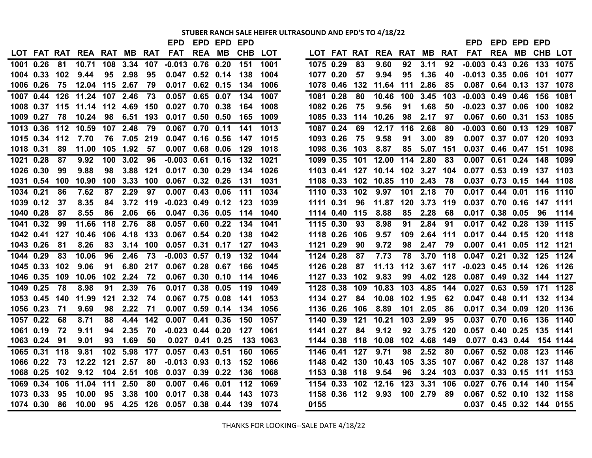# **STUBER RANCH SALE HEIFER ULTRASOUND AND EPD'S TO 4/18/22**

| LOT FAT RAT REA RAT MB RAT<br><b>FAT</b><br><b>REA</b><br><b>CHB</b><br><b>FAT</b><br>MВ<br>LOT<br>LOT FAT RAT REA RAT MB RAT<br><b>REA MB</b><br>3.34<br>$-0.013$ 0.76<br>0.20<br>151<br>1075 0.29<br>3.11<br>$-0.003$ $0.43$ $0.26$<br>1001 0.26<br>81<br>10.71<br>108<br>107<br>1001<br>83<br>9.60<br>92<br>92<br>2.98<br>95<br>95<br>$-0.013$ $0.35$ $0.06$<br>1004 0.33<br>102<br>9.44<br>95<br>$0.047$ 0.52 0.14<br>138<br>1004<br>1077 0.20<br>57<br>9.94<br>1.36<br>40<br>101<br>12.04 115 2.67<br>132<br>2.86<br>$0.087$ 0.64 0.13<br>1006 0.26<br>75<br>79<br>$0.017$ 0.62 0.15<br>134<br>1006<br>1078 0.46<br>11.64<br>111<br>85<br>156<br>1007 0.44<br>11.24 107 2.46<br>73<br>0.057<br>0.65<br>0.07<br>134<br>1007<br>1081 0.28<br>80<br>10.46<br>100<br>3.45<br>$-0.003$ 0.49 0.46<br>126<br>103<br>115<br>11.14 112 4.69 150<br>0.027<br>0.70<br>0.38<br>164<br>1008<br>1082 0.26<br>75<br>9.56<br>91<br>1.68<br>50<br>$-0.023$ 0.37 0.06<br>1008 0.37<br>1009 0.27<br>78<br>10.24<br>98<br>6.51 193<br>165<br>1009<br>1085 0.33<br>10.26<br>98<br>2.17<br>97<br>0.067 0.60 0.31<br>0.017<br>$0.50 \quad 0.50$<br>114<br>1013 0.36<br>$112$<br>107 2.48<br>79<br>0.067<br>0.70<br>1013<br>1087 0.24<br>$-0.003$ 0.60 0.13<br>129<br>10.59<br>0.11<br>141<br>69<br>12.17<br>116<br>2.68<br>80<br>1015 0.34<br>112<br>7.70<br>76<br>7.05 219<br>$0.047$ 0.16<br>0.56<br>147<br>1015<br>1093 0.26<br>75<br>9.58<br>91<br>3.00<br>89<br>$0.007$ 0.37 0.07<br>105 1.92<br>85<br>5.07 151<br>0.037 0.46 0.47<br>1018 0.31<br>89<br>11.00<br>57<br>$0.007$ 0.68<br>0.06<br>129<br>1018<br>1098 0.36<br>103<br>8.87<br>1021 0.28<br>9.92<br>100<br>3.02<br>$-0.003$ $0.61$ $0.16$<br>132<br>1021<br>1099 0.35<br>101<br>12.00<br>114 2.80<br>0.007<br>$0.61$ 0.24<br>148<br>87<br>96<br>83<br>9.88<br>98<br>3.88<br>$0.30$ 0.29<br>1026<br>127<br>10.14 102 3.27<br>104<br>$0.53$ 0.19<br>1026 0.30<br>99<br>121<br>0.017<br>134<br>1103 0.41<br>0.077<br>1031 0.54<br>100 3.33 100<br>0.067<br>$0.32$ 0.26<br>131<br>1031<br>1108 0.33<br>102<br>10.85<br>110 2.43<br>78<br>0.037 0.73 0.15<br>100<br>10.90<br>1034 0.21<br>2.29<br>97<br>0.007<br>0.43<br>$111$<br>1034<br>1110 0.33<br>102<br>9.97<br>101 2.18<br>$0.44$ 0.01<br>86<br>7.62<br>87<br>0.06<br>70<br>0.017<br>1039 0.12<br>8.35<br>3.72<br>119<br>$-0.023$ 0.49<br>0.12<br>123<br>1039<br>1111 0.31<br>96<br>11.87<br>120 3.73<br>119<br>0.037 0.70 0.16<br>37<br>84<br>8.55<br>8.88<br>85<br>2.28<br>68<br>0.017 0.38 0.05<br>96<br>1040 0.28<br>87<br>86<br>2.06<br>66<br>$0.047$ 0.36 0.05<br>1040<br>1114 0.40<br>115<br>114<br>118 2.76<br>$0.60$ $0.22$<br>2.84<br>1041 0.32<br>11.66<br>88<br>0.057<br>134<br>1041<br>1115 0.30<br>93<br>8.98<br>91<br>91<br>$0.017$ $0.42$ $0.28$<br>99<br>127<br>10.46 106 4.18 133<br>0.067<br>$0.54$ 0.20<br>138<br>1042<br>1118 0.26<br>109<br>2.64 111<br>$0.017$ 0.44 0.15<br>1042  0.41<br>106<br>9.57<br>8.26<br>1043 0.26<br>81<br>83<br>3.14 100<br>0.057<br>$0.31$ 0.17<br>127<br>1043<br>1121 0.29<br>90<br>9.72<br>98<br>2.47<br>79<br>0.007<br>$0.41$ 0.05<br>73<br>1044<br>3.70 118<br>0.32<br>1044 0.29<br>83<br>10.06<br>96<br>2.46<br>$-0.003$ 0.57<br>0.19<br>132<br>1124 0.28<br>87<br>7.73<br>78<br>$0.047$ 0.21<br>$-0.023$ 0.45 0.14<br>1045 0.33<br>102<br>9.06<br>6.80 217<br>$0.067$ 0.28 0.67<br>166<br>1045<br>1126 0.28<br>11.13<br>91<br>87<br>1046 0.35<br>109<br>10.06<br>102 2.24<br>72<br>$0.067$ $0.30$ $0.10$<br>1046<br>1127 0.33<br>102<br>9.83<br>99<br>4.02 128<br>$0.087$ 0.49 0.32<br>114<br>$0.63$ $0.59$<br>1049 0.25<br>78<br>8.98<br>91<br>2.39<br>76<br>0.017<br>0.38<br>0.05<br>119<br>1049<br>1128 0.38<br>109<br>10.83<br>103<br>4.85<br>144<br>0.027<br>11.99<br>121<br>2.32<br>0.067 0.75 0.08<br>1053<br>1134 0.27<br>10.08<br>102 1.95<br>62<br>$0.48$ 0.11<br>1053 0.45<br>140<br>74<br>141<br>84<br>0.047<br>1056 0.23<br>71<br>9.69<br>98<br>2.22<br>71<br>$0.007$ 0.59<br>0.14<br>134<br>1056<br>1136 0.26<br>106<br>8.89<br>101<br>2.05<br>$0.017$ 0.34 0.09<br>86<br>0.41<br>103 2.99<br>$0.70$ 0.16<br>1057 0.22<br>68<br>8.71<br>88<br>4.44<br>142<br>0.007<br>0.36<br>150<br>1057<br>1140 0.39<br>121<br>10.21<br>95<br>0.037<br>$-0.023$ 0.44 0.20<br>9.12<br>1061 0.19<br>72<br>9.11<br>2.35<br>70<br>127<br>1061<br>1141 0.27<br>84<br>92<br>3.75 120<br>$0.057$ 0.40 0.25<br>94<br>1.69<br>1063 0.24<br>91<br>9.01<br>93<br>50<br>0.027 0.41 0.25<br>133 1063<br>1144 0.38<br>118<br>10.08<br>102 4.68<br>149<br>0.077 0.43 0.44<br>$0.057$ 0.43<br>127<br>9.71<br>0.067 0.52 0.08<br>1065 0.31<br>118<br>9.81<br>102 <sub>2</sub><br>5.98<br>177<br>0.51<br>160<br>1065<br>1146 0.41<br>98<br>2.52<br>80<br>12.22 121<br>2.57<br>105 3.35 107<br>0.067 0.42 0.28<br>1066 0.22<br>73<br>80<br>$-0.013$ 0.93 0.13<br>152<br>1066<br>1148 0.42<br>130<br>10.43<br>104 2.51<br>$0.037$ 0.39 0.22<br>3.24 103<br>$0.037$ 0.33 0.15<br>111<br>1068 0.25 102<br>9.12<br>106<br>136<br>1068<br>1153 0.38 118<br>9.54<br>96<br>11.04<br>111 2.50<br>112<br>1154 0.33 102 12.16<br>123 3.31 106<br>$0.76$ 0.14<br>1069 0.34<br>106<br>80<br>0.007<br>0.46<br>0.01<br>1069<br>0.027<br>0.38<br>1073 0.33<br>95<br>10.00<br>95<br>3.38 100<br>0.017<br>0.44<br>143<br>1073<br>1158 0.36 112 9.93<br>100 2.79<br>89<br>0.067  0.52  0.10  132  1158<br>10.00 95 4.25 126<br>0.057 0.38 0.44<br>0155<br>0.037 0.45 0.32 144 0155<br>1074 0.30<br>86<br>139<br>1074 |  |  |  |  | EPD | EPD EPD | EPD |  |  |  |  | <b>EPD</b> | EPD EPD EPD |          |          |
|------------------------------------------------------------------------------------------------------------------------------------------------------------------------------------------------------------------------------------------------------------------------------------------------------------------------------------------------------------------------------------------------------------------------------------------------------------------------------------------------------------------------------------------------------------------------------------------------------------------------------------------------------------------------------------------------------------------------------------------------------------------------------------------------------------------------------------------------------------------------------------------------------------------------------------------------------------------------------------------------------------------------------------------------------------------------------------------------------------------------------------------------------------------------------------------------------------------------------------------------------------------------------------------------------------------------------------------------------------------------------------------------------------------------------------------------------------------------------------------------------------------------------------------------------------------------------------------------------------------------------------------------------------------------------------------------------------------------------------------------------------------------------------------------------------------------------------------------------------------------------------------------------------------------------------------------------------------------------------------------------------------------------------------------------------------------------------------------------------------------------------------------------------------------------------------------------------------------------------------------------------------------------------------------------------------------------------------------------------------------------------------------------------------------------------------------------------------------------------------------------------------------------------------------------------------------------------------------------------------------------------------------------------------------------------------------------------------------------------------------------------------------------------------------------------------------------------------------------------------------------------------------------------------------------------------------------------------------------------------------------------------------------------------------------------------------------------------------------------------------------------------------------------------------------------------------------------------------------------------------------------------------------------------------------------------------------------------------------------------------------------------------------------------------------------------------------------------------------------------------------------------------------------------------------------------------------------------------------------------------------------------------------------------------------------------------------------------------------------------------------------------------------------------------------------------------------------------------------------------------------------------------------------------------------------------------------------------------------------------------------------------------------------------------------------------------------------------------------------------------------------------------------------------------------------------------------------------------------------------------------------------------------------------------------------------------------------------------------------------------------------------------------------------------------------------------------------------------------------------------------------------------------------------------------------------------------------------------------------------------------------------------------------------------------------------------------------------------------------------------------------------------------------------------------------------------------------------------------------------------------------------------------------------------------------------------------------------------------------------------------------------------------------------------------------------------------------------------------------------------------------------------------------------------------------------------------------------------------------------------------------------------------------------------------------------------------------------------------------------------------------------------------------------------------------------|--|--|--|--|-----|---------|-----|--|--|--|--|------------|-------------|----------|----------|
|                                                                                                                                                                                                                                                                                                                                                                                                                                                                                                                                                                                                                                                                                                                                                                                                                                                                                                                                                                                                                                                                                                                                                                                                                                                                                                                                                                                                                                                                                                                                                                                                                                                                                                                                                                                                                                                                                                                                                                                                                                                                                                                                                                                                                                                                                                                                                                                                                                                                                                                                                                                                                                                                                                                                                                                                                                                                                                                                                                                                                                                                                                                                                                                                                                                                                                                                                                                                                                                                                                                                                                                                                                                                                                                                                                                                                                                                                                                                                                                                                                                                                                                                                                                                                                                                                                                                                                                                                                                                                                                                                                                                                                                                                                                                                                                                                                                                                                                                                                                                                                                                                                                                                                                                                                                                                                                                                                                                                                          |  |  |  |  |     |         |     |  |  |  |  |            |             | CHB LOT  |          |
|                                                                                                                                                                                                                                                                                                                                                                                                                                                                                                                                                                                                                                                                                                                                                                                                                                                                                                                                                                                                                                                                                                                                                                                                                                                                                                                                                                                                                                                                                                                                                                                                                                                                                                                                                                                                                                                                                                                                                                                                                                                                                                                                                                                                                                                                                                                                                                                                                                                                                                                                                                                                                                                                                                                                                                                                                                                                                                                                                                                                                                                                                                                                                                                                                                                                                                                                                                                                                                                                                                                                                                                                                                                                                                                                                                                                                                                                                                                                                                                                                                                                                                                                                                                                                                                                                                                                                                                                                                                                                                                                                                                                                                                                                                                                                                                                                                                                                                                                                                                                                                                                                                                                                                                                                                                                                                                                                                                                                                          |  |  |  |  |     |         |     |  |  |  |  |            |             | 133      | 1075     |
|                                                                                                                                                                                                                                                                                                                                                                                                                                                                                                                                                                                                                                                                                                                                                                                                                                                                                                                                                                                                                                                                                                                                                                                                                                                                                                                                                                                                                                                                                                                                                                                                                                                                                                                                                                                                                                                                                                                                                                                                                                                                                                                                                                                                                                                                                                                                                                                                                                                                                                                                                                                                                                                                                                                                                                                                                                                                                                                                                                                                                                                                                                                                                                                                                                                                                                                                                                                                                                                                                                                                                                                                                                                                                                                                                                                                                                                                                                                                                                                                                                                                                                                                                                                                                                                                                                                                                                                                                                                                                                                                                                                                                                                                                                                                                                                                                                                                                                                                                                                                                                                                                                                                                                                                                                                                                                                                                                                                                                          |  |  |  |  |     |         |     |  |  |  |  |            |             |          | 1077     |
|                                                                                                                                                                                                                                                                                                                                                                                                                                                                                                                                                                                                                                                                                                                                                                                                                                                                                                                                                                                                                                                                                                                                                                                                                                                                                                                                                                                                                                                                                                                                                                                                                                                                                                                                                                                                                                                                                                                                                                                                                                                                                                                                                                                                                                                                                                                                                                                                                                                                                                                                                                                                                                                                                                                                                                                                                                                                                                                                                                                                                                                                                                                                                                                                                                                                                                                                                                                                                                                                                                                                                                                                                                                                                                                                                                                                                                                                                                                                                                                                                                                                                                                                                                                                                                                                                                                                                                                                                                                                                                                                                                                                                                                                                                                                                                                                                                                                                                                                                                                                                                                                                                                                                                                                                                                                                                                                                                                                                                          |  |  |  |  |     |         |     |  |  |  |  |            |             | 137      | 1078     |
|                                                                                                                                                                                                                                                                                                                                                                                                                                                                                                                                                                                                                                                                                                                                                                                                                                                                                                                                                                                                                                                                                                                                                                                                                                                                                                                                                                                                                                                                                                                                                                                                                                                                                                                                                                                                                                                                                                                                                                                                                                                                                                                                                                                                                                                                                                                                                                                                                                                                                                                                                                                                                                                                                                                                                                                                                                                                                                                                                                                                                                                                                                                                                                                                                                                                                                                                                                                                                                                                                                                                                                                                                                                                                                                                                                                                                                                                                                                                                                                                                                                                                                                                                                                                                                                                                                                                                                                                                                                                                                                                                                                                                                                                                                                                                                                                                                                                                                                                                                                                                                                                                                                                                                                                                                                                                                                                                                                                                                          |  |  |  |  |     |         |     |  |  |  |  |            |             |          | 1081     |
|                                                                                                                                                                                                                                                                                                                                                                                                                                                                                                                                                                                                                                                                                                                                                                                                                                                                                                                                                                                                                                                                                                                                                                                                                                                                                                                                                                                                                                                                                                                                                                                                                                                                                                                                                                                                                                                                                                                                                                                                                                                                                                                                                                                                                                                                                                                                                                                                                                                                                                                                                                                                                                                                                                                                                                                                                                                                                                                                                                                                                                                                                                                                                                                                                                                                                                                                                                                                                                                                                                                                                                                                                                                                                                                                                                                                                                                                                                                                                                                                                                                                                                                                                                                                                                                                                                                                                                                                                                                                                                                                                                                                                                                                                                                                                                                                                                                                                                                                                                                                                                                                                                                                                                                                                                                                                                                                                                                                                                          |  |  |  |  |     |         |     |  |  |  |  |            |             | 100      | 1082     |
|                                                                                                                                                                                                                                                                                                                                                                                                                                                                                                                                                                                                                                                                                                                                                                                                                                                                                                                                                                                                                                                                                                                                                                                                                                                                                                                                                                                                                                                                                                                                                                                                                                                                                                                                                                                                                                                                                                                                                                                                                                                                                                                                                                                                                                                                                                                                                                                                                                                                                                                                                                                                                                                                                                                                                                                                                                                                                                                                                                                                                                                                                                                                                                                                                                                                                                                                                                                                                                                                                                                                                                                                                                                                                                                                                                                                                                                                                                                                                                                                                                                                                                                                                                                                                                                                                                                                                                                                                                                                                                                                                                                                                                                                                                                                                                                                                                                                                                                                                                                                                                                                                                                                                                                                                                                                                                                                                                                                                                          |  |  |  |  |     |         |     |  |  |  |  |            |             | 153      | 1085     |
|                                                                                                                                                                                                                                                                                                                                                                                                                                                                                                                                                                                                                                                                                                                                                                                                                                                                                                                                                                                                                                                                                                                                                                                                                                                                                                                                                                                                                                                                                                                                                                                                                                                                                                                                                                                                                                                                                                                                                                                                                                                                                                                                                                                                                                                                                                                                                                                                                                                                                                                                                                                                                                                                                                                                                                                                                                                                                                                                                                                                                                                                                                                                                                                                                                                                                                                                                                                                                                                                                                                                                                                                                                                                                                                                                                                                                                                                                                                                                                                                                                                                                                                                                                                                                                                                                                                                                                                                                                                                                                                                                                                                                                                                                                                                                                                                                                                                                                                                                                                                                                                                                                                                                                                                                                                                                                                                                                                                                                          |  |  |  |  |     |         |     |  |  |  |  |            |             |          | 1087     |
|                                                                                                                                                                                                                                                                                                                                                                                                                                                                                                                                                                                                                                                                                                                                                                                                                                                                                                                                                                                                                                                                                                                                                                                                                                                                                                                                                                                                                                                                                                                                                                                                                                                                                                                                                                                                                                                                                                                                                                                                                                                                                                                                                                                                                                                                                                                                                                                                                                                                                                                                                                                                                                                                                                                                                                                                                                                                                                                                                                                                                                                                                                                                                                                                                                                                                                                                                                                                                                                                                                                                                                                                                                                                                                                                                                                                                                                                                                                                                                                                                                                                                                                                                                                                                                                                                                                                                                                                                                                                                                                                                                                                                                                                                                                                                                                                                                                                                                                                                                                                                                                                                                                                                                                                                                                                                                                                                                                                                                          |  |  |  |  |     |         |     |  |  |  |  |            |             | 120      | 1093     |
|                                                                                                                                                                                                                                                                                                                                                                                                                                                                                                                                                                                                                                                                                                                                                                                                                                                                                                                                                                                                                                                                                                                                                                                                                                                                                                                                                                                                                                                                                                                                                                                                                                                                                                                                                                                                                                                                                                                                                                                                                                                                                                                                                                                                                                                                                                                                                                                                                                                                                                                                                                                                                                                                                                                                                                                                                                                                                                                                                                                                                                                                                                                                                                                                                                                                                                                                                                                                                                                                                                                                                                                                                                                                                                                                                                                                                                                                                                                                                                                                                                                                                                                                                                                                                                                                                                                                                                                                                                                                                                                                                                                                                                                                                                                                                                                                                                                                                                                                                                                                                                                                                                                                                                                                                                                                                                                                                                                                                                          |  |  |  |  |     |         |     |  |  |  |  |            |             | 151      | 1098     |
|                                                                                                                                                                                                                                                                                                                                                                                                                                                                                                                                                                                                                                                                                                                                                                                                                                                                                                                                                                                                                                                                                                                                                                                                                                                                                                                                                                                                                                                                                                                                                                                                                                                                                                                                                                                                                                                                                                                                                                                                                                                                                                                                                                                                                                                                                                                                                                                                                                                                                                                                                                                                                                                                                                                                                                                                                                                                                                                                                                                                                                                                                                                                                                                                                                                                                                                                                                                                                                                                                                                                                                                                                                                                                                                                                                                                                                                                                                                                                                                                                                                                                                                                                                                                                                                                                                                                                                                                                                                                                                                                                                                                                                                                                                                                                                                                                                                                                                                                                                                                                                                                                                                                                                                                                                                                                                                                                                                                                                          |  |  |  |  |     |         |     |  |  |  |  |            |             |          | 1099     |
|                                                                                                                                                                                                                                                                                                                                                                                                                                                                                                                                                                                                                                                                                                                                                                                                                                                                                                                                                                                                                                                                                                                                                                                                                                                                                                                                                                                                                                                                                                                                                                                                                                                                                                                                                                                                                                                                                                                                                                                                                                                                                                                                                                                                                                                                                                                                                                                                                                                                                                                                                                                                                                                                                                                                                                                                                                                                                                                                                                                                                                                                                                                                                                                                                                                                                                                                                                                                                                                                                                                                                                                                                                                                                                                                                                                                                                                                                                                                                                                                                                                                                                                                                                                                                                                                                                                                                                                                                                                                                                                                                                                                                                                                                                                                                                                                                                                                                                                                                                                                                                                                                                                                                                                                                                                                                                                                                                                                                                          |  |  |  |  |     |         |     |  |  |  |  |            |             | 137      | 1103     |
|                                                                                                                                                                                                                                                                                                                                                                                                                                                                                                                                                                                                                                                                                                                                                                                                                                                                                                                                                                                                                                                                                                                                                                                                                                                                                                                                                                                                                                                                                                                                                                                                                                                                                                                                                                                                                                                                                                                                                                                                                                                                                                                                                                                                                                                                                                                                                                                                                                                                                                                                                                                                                                                                                                                                                                                                                                                                                                                                                                                                                                                                                                                                                                                                                                                                                                                                                                                                                                                                                                                                                                                                                                                                                                                                                                                                                                                                                                                                                                                                                                                                                                                                                                                                                                                                                                                                                                                                                                                                                                                                                                                                                                                                                                                                                                                                                                                                                                                                                                                                                                                                                                                                                                                                                                                                                                                                                                                                                                          |  |  |  |  |     |         |     |  |  |  |  |            |             |          | 144 1108 |
|                                                                                                                                                                                                                                                                                                                                                                                                                                                                                                                                                                                                                                                                                                                                                                                                                                                                                                                                                                                                                                                                                                                                                                                                                                                                                                                                                                                                                                                                                                                                                                                                                                                                                                                                                                                                                                                                                                                                                                                                                                                                                                                                                                                                                                                                                                                                                                                                                                                                                                                                                                                                                                                                                                                                                                                                                                                                                                                                                                                                                                                                                                                                                                                                                                                                                                                                                                                                                                                                                                                                                                                                                                                                                                                                                                                                                                                                                                                                                                                                                                                                                                                                                                                                                                                                                                                                                                                                                                                                                                                                                                                                                                                                                                                                                                                                                                                                                                                                                                                                                                                                                                                                                                                                                                                                                                                                                                                                                                          |  |  |  |  |     |         |     |  |  |  |  |            |             |          | 116 1110 |
|                                                                                                                                                                                                                                                                                                                                                                                                                                                                                                                                                                                                                                                                                                                                                                                                                                                                                                                                                                                                                                                                                                                                                                                                                                                                                                                                                                                                                                                                                                                                                                                                                                                                                                                                                                                                                                                                                                                                                                                                                                                                                                                                                                                                                                                                                                                                                                                                                                                                                                                                                                                                                                                                                                                                                                                                                                                                                                                                                                                                                                                                                                                                                                                                                                                                                                                                                                                                                                                                                                                                                                                                                                                                                                                                                                                                                                                                                                                                                                                                                                                                                                                                                                                                                                                                                                                                                                                                                                                                                                                                                                                                                                                                                                                                                                                                                                                                                                                                                                                                                                                                                                                                                                                                                                                                                                                                                                                                                                          |  |  |  |  |     |         |     |  |  |  |  |            |             |          | 147 1111 |
|                                                                                                                                                                                                                                                                                                                                                                                                                                                                                                                                                                                                                                                                                                                                                                                                                                                                                                                                                                                                                                                                                                                                                                                                                                                                                                                                                                                                                                                                                                                                                                                                                                                                                                                                                                                                                                                                                                                                                                                                                                                                                                                                                                                                                                                                                                                                                                                                                                                                                                                                                                                                                                                                                                                                                                                                                                                                                                                                                                                                                                                                                                                                                                                                                                                                                                                                                                                                                                                                                                                                                                                                                                                                                                                                                                                                                                                                                                                                                                                                                                                                                                                                                                                                                                                                                                                                                                                                                                                                                                                                                                                                                                                                                                                                                                                                                                                                                                                                                                                                                                                                                                                                                                                                                                                                                                                                                                                                                                          |  |  |  |  |     |         |     |  |  |  |  |            |             |          | 1114     |
|                                                                                                                                                                                                                                                                                                                                                                                                                                                                                                                                                                                                                                                                                                                                                                                                                                                                                                                                                                                                                                                                                                                                                                                                                                                                                                                                                                                                                                                                                                                                                                                                                                                                                                                                                                                                                                                                                                                                                                                                                                                                                                                                                                                                                                                                                                                                                                                                                                                                                                                                                                                                                                                                                                                                                                                                                                                                                                                                                                                                                                                                                                                                                                                                                                                                                                                                                                                                                                                                                                                                                                                                                                                                                                                                                                                                                                                                                                                                                                                                                                                                                                                                                                                                                                                                                                                                                                                                                                                                                                                                                                                                                                                                                                                                                                                                                                                                                                                                                                                                                                                                                                                                                                                                                                                                                                                                                                                                                                          |  |  |  |  |     |         |     |  |  |  |  |            |             |          | 139 1115 |
|                                                                                                                                                                                                                                                                                                                                                                                                                                                                                                                                                                                                                                                                                                                                                                                                                                                                                                                                                                                                                                                                                                                                                                                                                                                                                                                                                                                                                                                                                                                                                                                                                                                                                                                                                                                                                                                                                                                                                                                                                                                                                                                                                                                                                                                                                                                                                                                                                                                                                                                                                                                                                                                                                                                                                                                                                                                                                                                                                                                                                                                                                                                                                                                                                                                                                                                                                                                                                                                                                                                                                                                                                                                                                                                                                                                                                                                                                                                                                                                                                                                                                                                                                                                                                                                                                                                                                                                                                                                                                                                                                                                                                                                                                                                                                                                                                                                                                                                                                                                                                                                                                                                                                                                                                                                                                                                                                                                                                                          |  |  |  |  |     |         |     |  |  |  |  |            |             | 120      | 1118     |
|                                                                                                                                                                                                                                                                                                                                                                                                                                                                                                                                                                                                                                                                                                                                                                                                                                                                                                                                                                                                                                                                                                                                                                                                                                                                                                                                                                                                                                                                                                                                                                                                                                                                                                                                                                                                                                                                                                                                                                                                                                                                                                                                                                                                                                                                                                                                                                                                                                                                                                                                                                                                                                                                                                                                                                                                                                                                                                                                                                                                                                                                                                                                                                                                                                                                                                                                                                                                                                                                                                                                                                                                                                                                                                                                                                                                                                                                                                                                                                                                                                                                                                                                                                                                                                                                                                                                                                                                                                                                                                                                                                                                                                                                                                                                                                                                                                                                                                                                                                                                                                                                                                                                                                                                                                                                                                                                                                                                                                          |  |  |  |  |     |         |     |  |  |  |  |            |             | 112      | 1121     |
|                                                                                                                                                                                                                                                                                                                                                                                                                                                                                                                                                                                                                                                                                                                                                                                                                                                                                                                                                                                                                                                                                                                                                                                                                                                                                                                                                                                                                                                                                                                                                                                                                                                                                                                                                                                                                                                                                                                                                                                                                                                                                                                                                                                                                                                                                                                                                                                                                                                                                                                                                                                                                                                                                                                                                                                                                                                                                                                                                                                                                                                                                                                                                                                                                                                                                                                                                                                                                                                                                                                                                                                                                                                                                                                                                                                                                                                                                                                                                                                                                                                                                                                                                                                                                                                                                                                                                                                                                                                                                                                                                                                                                                                                                                                                                                                                                                                                                                                                                                                                                                                                                                                                                                                                                                                                                                                                                                                                                                          |  |  |  |  |     |         |     |  |  |  |  |            |             |          | 125 1124 |
|                                                                                                                                                                                                                                                                                                                                                                                                                                                                                                                                                                                                                                                                                                                                                                                                                                                                                                                                                                                                                                                                                                                                                                                                                                                                                                                                                                                                                                                                                                                                                                                                                                                                                                                                                                                                                                                                                                                                                                                                                                                                                                                                                                                                                                                                                                                                                                                                                                                                                                                                                                                                                                                                                                                                                                                                                                                                                                                                                                                                                                                                                                                                                                                                                                                                                                                                                                                                                                                                                                                                                                                                                                                                                                                                                                                                                                                                                                                                                                                                                                                                                                                                                                                                                                                                                                                                                                                                                                                                                                                                                                                                                                                                                                                                                                                                                                                                                                                                                                                                                                                                                                                                                                                                                                                                                                                                                                                                                                          |  |  |  |  |     |         |     |  |  |  |  |            |             | 126 1126 |          |
|                                                                                                                                                                                                                                                                                                                                                                                                                                                                                                                                                                                                                                                                                                                                                                                                                                                                                                                                                                                                                                                                                                                                                                                                                                                                                                                                                                                                                                                                                                                                                                                                                                                                                                                                                                                                                                                                                                                                                                                                                                                                                                                                                                                                                                                                                                                                                                                                                                                                                                                                                                                                                                                                                                                                                                                                                                                                                                                                                                                                                                                                                                                                                                                                                                                                                                                                                                                                                                                                                                                                                                                                                                                                                                                                                                                                                                                                                                                                                                                                                                                                                                                                                                                                                                                                                                                                                                                                                                                                                                                                                                                                                                                                                                                                                                                                                                                                                                                                                                                                                                                                                                                                                                                                                                                                                                                                                                                                                                          |  |  |  |  |     |         |     |  |  |  |  |            |             | 144 1127 |          |
|                                                                                                                                                                                                                                                                                                                                                                                                                                                                                                                                                                                                                                                                                                                                                                                                                                                                                                                                                                                                                                                                                                                                                                                                                                                                                                                                                                                                                                                                                                                                                                                                                                                                                                                                                                                                                                                                                                                                                                                                                                                                                                                                                                                                                                                                                                                                                                                                                                                                                                                                                                                                                                                                                                                                                                                                                                                                                                                                                                                                                                                                                                                                                                                                                                                                                                                                                                                                                                                                                                                                                                                                                                                                                                                                                                                                                                                                                                                                                                                                                                                                                                                                                                                                                                                                                                                                                                                                                                                                                                                                                                                                                                                                                                                                                                                                                                                                                                                                                                                                                                                                                                                                                                                                                                                                                                                                                                                                                                          |  |  |  |  |     |         |     |  |  |  |  |            |             |          | 171 1128 |
|                                                                                                                                                                                                                                                                                                                                                                                                                                                                                                                                                                                                                                                                                                                                                                                                                                                                                                                                                                                                                                                                                                                                                                                                                                                                                                                                                                                                                                                                                                                                                                                                                                                                                                                                                                                                                                                                                                                                                                                                                                                                                                                                                                                                                                                                                                                                                                                                                                                                                                                                                                                                                                                                                                                                                                                                                                                                                                                                                                                                                                                                                                                                                                                                                                                                                                                                                                                                                                                                                                                                                                                                                                                                                                                                                                                                                                                                                                                                                                                                                                                                                                                                                                                                                                                                                                                                                                                                                                                                                                                                                                                                                                                                                                                                                                                                                                                                                                                                                                                                                                                                                                                                                                                                                                                                                                                                                                                                                                          |  |  |  |  |     |         |     |  |  |  |  |            |             |          | 132 1134 |
|                                                                                                                                                                                                                                                                                                                                                                                                                                                                                                                                                                                                                                                                                                                                                                                                                                                                                                                                                                                                                                                                                                                                                                                                                                                                                                                                                                                                                                                                                                                                                                                                                                                                                                                                                                                                                                                                                                                                                                                                                                                                                                                                                                                                                                                                                                                                                                                                                                                                                                                                                                                                                                                                                                                                                                                                                                                                                                                                                                                                                                                                                                                                                                                                                                                                                                                                                                                                                                                                                                                                                                                                                                                                                                                                                                                                                                                                                                                                                                                                                                                                                                                                                                                                                                                                                                                                                                                                                                                                                                                                                                                                                                                                                                                                                                                                                                                                                                                                                                                                                                                                                                                                                                                                                                                                                                                                                                                                                                          |  |  |  |  |     |         |     |  |  |  |  |            |             |          | 120 1136 |
|                                                                                                                                                                                                                                                                                                                                                                                                                                                                                                                                                                                                                                                                                                                                                                                                                                                                                                                                                                                                                                                                                                                                                                                                                                                                                                                                                                                                                                                                                                                                                                                                                                                                                                                                                                                                                                                                                                                                                                                                                                                                                                                                                                                                                                                                                                                                                                                                                                                                                                                                                                                                                                                                                                                                                                                                                                                                                                                                                                                                                                                                                                                                                                                                                                                                                                                                                                                                                                                                                                                                                                                                                                                                                                                                                                                                                                                                                                                                                                                                                                                                                                                                                                                                                                                                                                                                                                                                                                                                                                                                                                                                                                                                                                                                                                                                                                                                                                                                                                                                                                                                                                                                                                                                                                                                                                                                                                                                                                          |  |  |  |  |     |         |     |  |  |  |  |            |             |          | 136 1140 |
|                                                                                                                                                                                                                                                                                                                                                                                                                                                                                                                                                                                                                                                                                                                                                                                                                                                                                                                                                                                                                                                                                                                                                                                                                                                                                                                                                                                                                                                                                                                                                                                                                                                                                                                                                                                                                                                                                                                                                                                                                                                                                                                                                                                                                                                                                                                                                                                                                                                                                                                                                                                                                                                                                                                                                                                                                                                                                                                                                                                                                                                                                                                                                                                                                                                                                                                                                                                                                                                                                                                                                                                                                                                                                                                                                                                                                                                                                                                                                                                                                                                                                                                                                                                                                                                                                                                                                                                                                                                                                                                                                                                                                                                                                                                                                                                                                                                                                                                                                                                                                                                                                                                                                                                                                                                                                                                                                                                                                                          |  |  |  |  |     |         |     |  |  |  |  |            |             |          | 135 1141 |
|                                                                                                                                                                                                                                                                                                                                                                                                                                                                                                                                                                                                                                                                                                                                                                                                                                                                                                                                                                                                                                                                                                                                                                                                                                                                                                                                                                                                                                                                                                                                                                                                                                                                                                                                                                                                                                                                                                                                                                                                                                                                                                                                                                                                                                                                                                                                                                                                                                                                                                                                                                                                                                                                                                                                                                                                                                                                                                                                                                                                                                                                                                                                                                                                                                                                                                                                                                                                                                                                                                                                                                                                                                                                                                                                                                                                                                                                                                                                                                                                                                                                                                                                                                                                                                                                                                                                                                                                                                                                                                                                                                                                                                                                                                                                                                                                                                                                                                                                                                                                                                                                                                                                                                                                                                                                                                                                                                                                                                          |  |  |  |  |     |         |     |  |  |  |  |            |             |          | 154 1144 |
|                                                                                                                                                                                                                                                                                                                                                                                                                                                                                                                                                                                                                                                                                                                                                                                                                                                                                                                                                                                                                                                                                                                                                                                                                                                                                                                                                                                                                                                                                                                                                                                                                                                                                                                                                                                                                                                                                                                                                                                                                                                                                                                                                                                                                                                                                                                                                                                                                                                                                                                                                                                                                                                                                                                                                                                                                                                                                                                                                                                                                                                                                                                                                                                                                                                                                                                                                                                                                                                                                                                                                                                                                                                                                                                                                                                                                                                                                                                                                                                                                                                                                                                                                                                                                                                                                                                                                                                                                                                                                                                                                                                                                                                                                                                                                                                                                                                                                                                                                                                                                                                                                                                                                                                                                                                                                                                                                                                                                                          |  |  |  |  |     |         |     |  |  |  |  |            |             |          | 123 1146 |
|                                                                                                                                                                                                                                                                                                                                                                                                                                                                                                                                                                                                                                                                                                                                                                                                                                                                                                                                                                                                                                                                                                                                                                                                                                                                                                                                                                                                                                                                                                                                                                                                                                                                                                                                                                                                                                                                                                                                                                                                                                                                                                                                                                                                                                                                                                                                                                                                                                                                                                                                                                                                                                                                                                                                                                                                                                                                                                                                                                                                                                                                                                                                                                                                                                                                                                                                                                                                                                                                                                                                                                                                                                                                                                                                                                                                                                                                                                                                                                                                                                                                                                                                                                                                                                                                                                                                                                                                                                                                                                                                                                                                                                                                                                                                                                                                                                                                                                                                                                                                                                                                                                                                                                                                                                                                                                                                                                                                                                          |  |  |  |  |     |         |     |  |  |  |  |            |             |          | 137 1148 |
|                                                                                                                                                                                                                                                                                                                                                                                                                                                                                                                                                                                                                                                                                                                                                                                                                                                                                                                                                                                                                                                                                                                                                                                                                                                                                                                                                                                                                                                                                                                                                                                                                                                                                                                                                                                                                                                                                                                                                                                                                                                                                                                                                                                                                                                                                                                                                                                                                                                                                                                                                                                                                                                                                                                                                                                                                                                                                                                                                                                                                                                                                                                                                                                                                                                                                                                                                                                                                                                                                                                                                                                                                                                                                                                                                                                                                                                                                                                                                                                                                                                                                                                                                                                                                                                                                                                                                                                                                                                                                                                                                                                                                                                                                                                                                                                                                                                                                                                                                                                                                                                                                                                                                                                                                                                                                                                                                                                                                                          |  |  |  |  |     |         |     |  |  |  |  |            |             |          | 1153     |
|                                                                                                                                                                                                                                                                                                                                                                                                                                                                                                                                                                                                                                                                                                                                                                                                                                                                                                                                                                                                                                                                                                                                                                                                                                                                                                                                                                                                                                                                                                                                                                                                                                                                                                                                                                                                                                                                                                                                                                                                                                                                                                                                                                                                                                                                                                                                                                                                                                                                                                                                                                                                                                                                                                                                                                                                                                                                                                                                                                                                                                                                                                                                                                                                                                                                                                                                                                                                                                                                                                                                                                                                                                                                                                                                                                                                                                                                                                                                                                                                                                                                                                                                                                                                                                                                                                                                                                                                                                                                                                                                                                                                                                                                                                                                                                                                                                                                                                                                                                                                                                                                                                                                                                                                                                                                                                                                                                                                                                          |  |  |  |  |     |         |     |  |  |  |  |            |             | 140      | 1154     |
|                                                                                                                                                                                                                                                                                                                                                                                                                                                                                                                                                                                                                                                                                                                                                                                                                                                                                                                                                                                                                                                                                                                                                                                                                                                                                                                                                                                                                                                                                                                                                                                                                                                                                                                                                                                                                                                                                                                                                                                                                                                                                                                                                                                                                                                                                                                                                                                                                                                                                                                                                                                                                                                                                                                                                                                                                                                                                                                                                                                                                                                                                                                                                                                                                                                                                                                                                                                                                                                                                                                                                                                                                                                                                                                                                                                                                                                                                                                                                                                                                                                                                                                                                                                                                                                                                                                                                                                                                                                                                                                                                                                                                                                                                                                                                                                                                                                                                                                                                                                                                                                                                                                                                                                                                                                                                                                                                                                                                                          |  |  |  |  |     |         |     |  |  |  |  |            |             |          |          |
|                                                                                                                                                                                                                                                                                                                                                                                                                                                                                                                                                                                                                                                                                                                                                                                                                                                                                                                                                                                                                                                                                                                                                                                                                                                                                                                                                                                                                                                                                                                                                                                                                                                                                                                                                                                                                                                                                                                                                                                                                                                                                                                                                                                                                                                                                                                                                                                                                                                                                                                                                                                                                                                                                                                                                                                                                                                                                                                                                                                                                                                                                                                                                                                                                                                                                                                                                                                                                                                                                                                                                                                                                                                                                                                                                                                                                                                                                                                                                                                                                                                                                                                                                                                                                                                                                                                                                                                                                                                                                                                                                                                                                                                                                                                                                                                                                                                                                                                                                                                                                                                                                                                                                                                                                                                                                                                                                                                                                                          |  |  |  |  |     |         |     |  |  |  |  |            |             |          |          |

| EPD        | EPD.       | <b>EPD</b> | <b>EPD</b> |            |           |      |            |            |            |      |            | <b>EPD</b>             |               | EPD EPD EPD |         |          |
|------------|------------|------------|------------|------------|-----------|------|------------|------------|------------|------|------------|------------------------|---------------|-------------|---------|----------|
| <b>FAT</b> | <b>REA</b> | MВ         | <b>CHB</b> | <b>LOT</b> | LOT FAT   |      | <b>RAT</b> | <b>REA</b> | <b>RAT</b> | MВ   | <b>RAT</b> | <b>FAT</b>             | <b>REA</b>    | MВ          | CHB LOT |          |
| 0.013      | 0.76       | 0.20       | 151        | 1001       | 1075 0.29 |      | 83         | 9.60       | 92         | 3.11 | 92         | $-0.003$               | 0.43          | 0.26        | 133     | 1075     |
| 0.047      | 0.52       | 0.14       | 138        | 1004       | 1077 0.20 |      | 57         | 9.94       | 95         | 1.36 | 40         | $-0.013$ $0.35$ $0.06$ |               |             | 101     | 1077     |
| 0.017      | 0.62       | 0.15       | 134        | 1006       | 1078 0.46 |      | 132        | 11.64      | 111        | 2.86 | 85         | 0.087                  | $0.64$ 0.13   |             | 137     | 1078     |
| 0.057      | 0.65       | 0.07       | 134        | 1007       | 1081 0.28 |      | 80         | 10.46      | 100        | 3.45 | 103        | $-0.003$               | 0.49          | 0.46        | 156     | 1081     |
| 0.027      | 0.70       | 0.38       | 164        | 1008       | 1082 0.26 |      | 75         | 9.56       | 91         | 1.68 | 50         | $-0.023$ 0.37          |               | 0.06        | 100     | 1082     |
| 0.017      | 0.50       | 0.50       | 165        | 1009       | 1085 0.33 |      | 114        | 10.26      | 98         | 2.17 | 97         | 0.067                  | 0.60          | 0.31        | 153     | 1085     |
| 0.067      | 0.70       | 0.11       | 141        | 1013       | 1087 0.24 |      | 69         | 12.17      | 116        | 2.68 | 80         | $-0.003$               | 0.60          | 0.13        | 129     | 1087     |
| 0.047      | 0.16       | 0.56       | 147        | 1015       | 1093 0.26 |      | 75         | 9.58       | 91         | 3.00 | 89         | 0.007                  | 0.37          | 0.07        | 120     | 1093     |
| 0.007      | 0.68       | 0.06       | 129        | 1018       | 1098 0.36 |      | 103        | 8.87       | 85         | 5.07 | 151        | 0.037                  | 0.46          | 0.47        | 151     | 1098     |
| 0.003      | 0.61       | 0.16       | 132        | 1021       | 1099 0.35 |      | 101        | 12.00      | 114        | 2.80 | 83         | 0.007                  | 0.61          | 0.24        | 148     | 1099     |
| 0.017      | 0.30       | 0.29       | 134        | 1026       | 1103 0.41 |      | 127        | 10.14      | 102        | 3.27 | 104        | 0.077                  | 0.53          | 0.19        | 137     | 1103     |
| 0.067      | 0.32       | 0.26       | 131        | 1031       | 1108 0.33 |      | 102        | 10.85      | 110        | 2.43 | 78         | 0.037                  | 0.73          | 0.15        | 144     | 1108     |
| 0.007      | 0.43       | 0.06       | 111        | 1034       | 1110 0.33 |      | 102        | 9.97       | 101        | 2.18 | 70         | 0.017                  | 0.44          | 0.01        | 116     | 1110     |
| 0.023      | 0.49       | 0.12       | 123        | 1039       | 1111 0.31 |      | 96         | 11.87      | 120        | 3.73 | 119        | 0.037                  | 0.70          | 0.16        | 147     | 1111     |
| 0.047      | 0.36       | 0.05       | 114        | 1040       | 1114 0.40 |      | 115        | 8.88       | 85         | 2.28 | 68         | 0.017                  | 0.38          | 0.05        | 96      | 1114     |
| 0.057      | 0.60       | 0.22       | 134        | 1041       | 1115 0.30 |      | 93         | 8.98       | 91         | 2.84 | 91         | 0.017                  | 0.42          | 0.28        | 139     | 1115     |
| 0.067      | 0.54       | 0.20       | 138        | 1042       | 1118 0.26 |      | 106        | 9.57       | 109        | 2.64 | 111        | 0.017                  | 0.44          | 0.15        | 120     | 1118     |
| 0.057      | 0.31       | 0.17       | 127        | 1043       | 1121 0.29 |      | 90         | 9.72       | 98         | 2.47 | 79         | 0.007                  | 0.41          | 0.05        | 112     | 1121     |
| 0.003      | 0.57       | 0.19       | 132        | 1044       | 1124 0.28 |      | 87         | 7.73       | 78         | 3.70 | 118        | 0.047                  | 0.21          | 0.32        | 125     | 1124     |
| 0.067      | 0.28       | 0.67       | 166        | 1045       | 1126 0.28 |      | 87         | 11.13      | 112        | 3.67 | 117        | $-0.023$               | 0.45          | 0.14        | 126     | 1126     |
| 0.067      | 0.30       | 0.10       | 114        | 1046       | 1127 0.33 |      | 102        | 9.83       | 99         | 4.02 | 128        | 0.087                  | 0.49          | 0.32        | 144     | 1127     |
| 0.017      | 0.38       | 0.05       | 119        | 1049       | 1128 0.38 |      | 109        | 10.83      | 103        | 4.85 | 144        | 0.027                  | 0.63          | 0.59        | 171     | 1128     |
| 0.067      | 0.75       | 0.08       | 141        | 1053       | 1134 0.27 |      | 84         | 10.08      | 102        | 1.95 | 62         | 0.047                  | 0.48          | 0.11        | 132     | 1134     |
| 0.007      | 0.59       | 0.14       | 134        | 1056       | 1136 0.26 |      | 106        | 8.89       | 101        | 2.05 | 86         | 0.017                  | 0.34 0.09     |             | 120     | 1136     |
| 0.007      | 0.41       | 0.36       | 150        | 1057       | 1140      | 0.39 | 121        | 10.21      | 103        | 2.99 | 95         | 0.037                  | 0.70          | 0.16        | 136     | 1140     |
| 0.023      | 0.44       | 0.20       | 127        | 1061       | 1141 0.27 |      | 84         | 9.12       | 92         | 3.75 | 120        | 0.057                  | 0.40          | 0.25        | 135     | 1141     |
| 0.027      | 0.41       | 0.25       | 133        | 1063       | 1144 0.38 |      | 118        | 10.08      | 102        | 4.68 | 149        | 0.077                  |               | $0.43$ 0.44 |         | 154 1144 |
| 0.057      | 0.43       | 0.51       | 160        | 1065       | 1146 0.41 |      | 127        | 9.71       | 98         | 2.52 | 80         | 0.067                  | 0.52          | 0.08        | 123     | 1146     |
| 0.013      | 0.93       | 0.13       | 152        | 1066       | 1148 0.42 |      | 130        | 10.43      | 105        | 3.35 | 107        | 0.067                  | 0.42          | 0.28        | 137     | 1148     |
| 0.037      | 0.39       | 0.22       | 136        | 1068       | 1153 0.38 |      | 118        | 9.54       | 96         | 3.24 | 103        | 0.037                  | $0.33$ $0.15$ |             | 111     | 1153     |
| 0.007      | 0.46       | 0.01       | 112        | 1069       | 1154 0.33 |      | 102        | 12.16      | 123        | 3.31 | 106        | 0.027                  | 0.76          | 0.14        | 140     | 1154     |
| 0.017      | 0.38       | 0.44       | 143        | 1073       | 1158 0.36 |      | 112        | 9.93       | 100        | 2.79 | 89         | 0.067                  | 0.52          | 0.10        | 132     | 1158     |
| 0.057      | 0.38       | 0.44       | 139        | 1074       | 0155      |      |            |            |            |      |            | 0.037                  | $0.45$ 0.32   |             | 144     | 0155     |

THANKS FOR LOOKING--SALE DATE 4/18/22